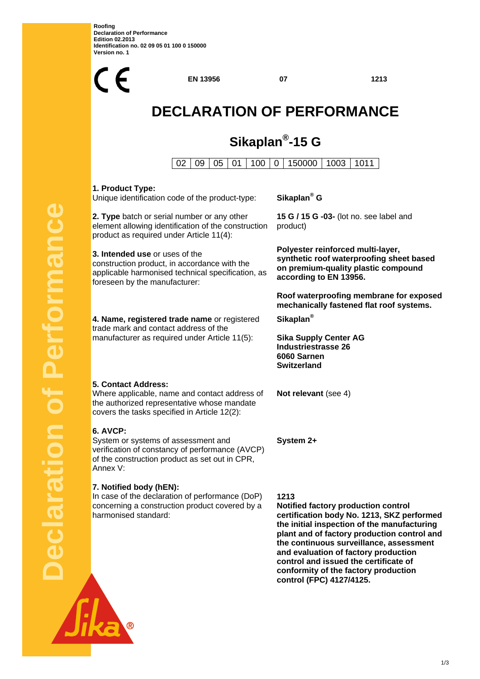**Roofing Declaration of Performance Edition 02.2013 Identification no. 02 09 05 01 100 0 150000 Version no. 1** 



**EN 13956 07 1213**

# **DECLARATION OF PERFORMANCE**

## **Sikaplan®-15 G**

02 09 05 01 00 0 150000 1003 1011

### **1. Product Type:**

Unique identification code of the product-type:

**2. Type** batch or serial number or any other element allowing identification of the construction product as required under Article 11(4):

**3. Intended use** or uses of the construction product, in accordance with the applicable harmonised technical specification, as foreseen by the manufacturer:

**4. Name, registered trade name** or registered trade mark and contact address of the manufacturer as required under Article 11(5):

#### Sikaplan<sup>®</sup> G

**15 G / 15 G -03-** (lot no. see label and product)

**Polyester reinforced multi-layer, synthetic roof waterproofing sheet based on premium-quality plastic compound according to EN 13956.** 

**Roof waterproofing membrane for exposed mechanically fastened flat roof systems.** 

**Sikaplan®** 

**Sika Supply Center AG Industriestrasse 26 6060 Sarnen Switzerland** 

**Not relevant** (see 4)

**System 2+** 

### **6. AVCP:**

**5. Contact Address:** 

System or systems of assessment and verification of constancy of performance (AVCP) of the construction product as set out in CPR, Annex V:

Where applicable, name and contact address of the authorized representative whose mandate covers the tasks specified in Article 12(2):

#### **7. Notified body (hEN):**

In case of the declaration of performance (DoP) concerning a construction product covered by a harmonised standard:

**1213 Notified factory production control certification body No. 1213, SKZ performed the initial inspection of the manufacturing plant and of factory production control and the continuous surveillance, assessment and evaluation of factory production control and issued the certificate of conformity of the factory production control (FPC) 4127/4125.**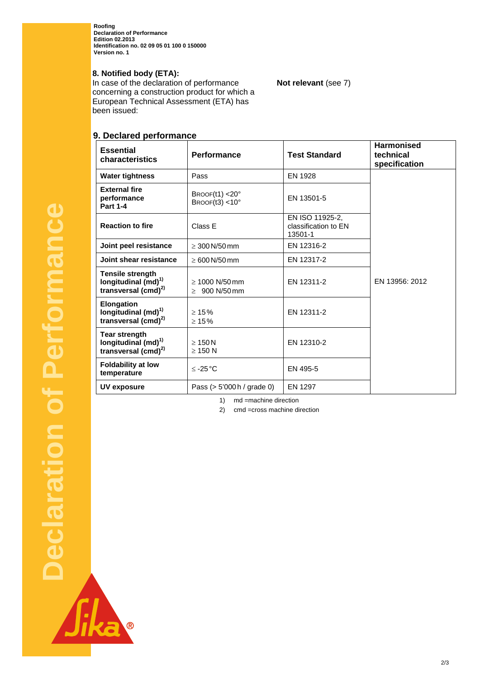**Roofing Declaration of Performance Edition 02.2013 Identification no. 02 09 05 01 100 0 150000 Version no. 1** 

#### **8. Notified body (ETA):**

In case of the declaration of performance concerning a construction product for which a European Technical Assessment (ETA) has been issued:

#### **9. Declared performance**

| <b>Essential</b><br>characteristics                                                      | <b>Performance</b>                        | <b>Test Standard</b>                               | <b>Harmonised</b><br>technical<br>specification |
|------------------------------------------------------------------------------------------|-------------------------------------------|----------------------------------------------------|-------------------------------------------------|
| <b>Water tightness</b>                                                                   | Pass                                      | <b>EN 1928</b>                                     |                                                 |
| <b>External fire</b><br>performance<br><b>Part 1-4</b>                                   | BROOF(11) < 20°<br>BROOF $(13)$ < 10°     | EN 13501-5                                         |                                                 |
| <b>Reaction to fire</b>                                                                  | Class E                                   | EN ISO 11925-2.<br>classification to EN<br>13501-1 |                                                 |
| Joint peel resistance                                                                    | $\geq 300$ N/50 mm                        | EN 12316-2                                         |                                                 |
| Joint shear resistance                                                                   | $\geq 600$ N/50 mm                        | EN 12317-2                                         |                                                 |
| <b>Tensile strength</b><br>longitudinal $(md)$ <sup>1)</sup><br>transversal $(cmd)^{2)}$ | $\geq 1000$ N/50 mm<br>$\geq 900$ N/50 mm | EN 12311-2                                         | EN 13956: 2012                                  |
| Elongation<br>longitudinal (md) <sup>1)</sup><br>transversal (cmd) <sup>2)</sup>         | $\geq 15\%$<br>$\geq 15\%$                | EN 12311-2                                         |                                                 |
| Tear strength<br>longitudinal (md) <sup>1)</sup><br>transversal (cmd) <sup>2)</sup>      | $\geq 150$ N<br>$\geq$ 150 N              | EN 12310-2                                         |                                                 |
| <b>Foldability at low</b><br>temperature                                                 | $≤ -25 °C$                                | EN 495-5                                           |                                                 |
| <b>UV exposure</b>                                                                       | Pass $(> 5'000 h /$ grade 0)              | EN 1297                                            |                                                 |

**Not relevant** (see 7)

1) md =machine direction

2) cmd =cross machine direction